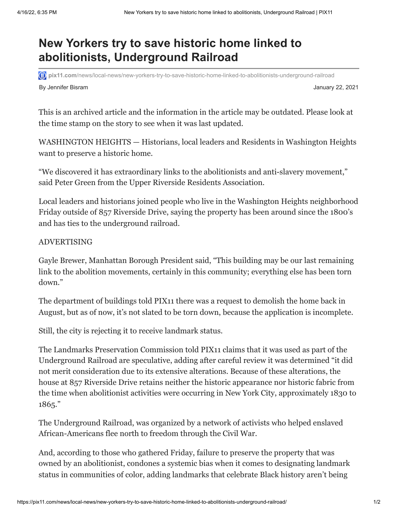## **New Yorkers try to save historic home linked to abolitionists, Underground Railroad**

**pix11.com**[/news/local-news/new-yorkers-try-to-save-historic-home-linked-to-abolitionists-underground-railroad](https://pix11.com/news/local-news/new-yorkers-try-to-save-historic-home-linked-to-abolitionists-underground-railroad/)

By Jennifer Bisram January 22, 2021

This is an archived article and the information in the article may be outdated. Please look at the time stamp on the story to see when it was last updated.

WASHINGTON HEIGHTS — Historians, local leaders and Residents in Washington Heights want to preserve a historic home.

"We discovered it has extraordinary links to the abolitionists and anti-slavery movement," said Peter Green from the Upper Riverside Residents Association.

Local leaders and historians joined people who live in the Washington Heights neighborhood Friday outside of 857 Riverside Drive, saying the property has been around since the 1800's and has ties to the underground railroad.

## ADVERTISING

Gayle Brewer, Manhattan Borough President said, "This building may be our last remaining link to the abolition movements, certainly in this community; everything else has been torn down."

The department of buildings told PIX11 there was a request to demolish the home back in August, but as of now, it's not slated to be torn down, because the application is incomplete.

Still, the city is rejecting it to receive landmark status.

The Landmarks Preservation Commission told PIX11 claims that it was used as part of the Underground Railroad are speculative, adding after careful review it was determined "it did not merit consideration due to its extensive alterations. Because of these alterations, the house at 857 Riverside Drive retains neither the historic appearance nor historic fabric from the time when abolitionist activities were occurring in New York City, approximately 1830 to 1865."

The Underground Railroad, was organized by a network of activists who helped enslaved African-Americans flee north to freedom through the Civil War.

And, according to those who gathered Friday, failure to preserve the property that was owned by an abolitionist, condones a systemic bias when it comes to designating landmark status in communities of color, adding landmarks that celebrate Black history aren't being